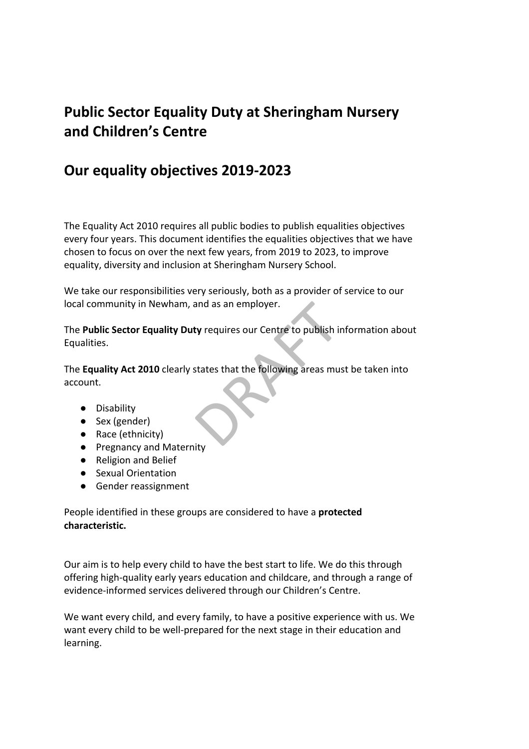# **Public Sector Equality Duty at Sheringham Nursery and Children's Centre**

## **Our equality objectives 2019-2023**

The Equality Act 2010 requires all public bodies to publish equalities objectives every four years. This document identifies the equalities objectives that we have chosen to focus on over the next few years, from 2019 to 2023, to improve equality, diversity and inclusion at Sheringham Nursery School.

We take our responsibilities very seriously, both as a provider of service to our local community in Newham, and as an employer.

The **Public Sector Equality Duty** requires our Centre to publish information about Equalities.

and as an employer.<br>
ty requires our Centre to publish in<br>
states that the following areas mu The **Equality Act 2010** clearly states that the following areas must be taken into account.

- Disability
- Sex (gender)
- Race (ethnicity)
- Pregnancy and Maternity
- Religion and Belief
- Sexual Orientation
- Gender reassignment

People identified in these groups are considered to have a **protected characteristic.**

Our aim is to help every child to have the best start to life. We do this through offering high-quality early years education and childcare, and through a range of evidence-informed services delivered through our Children's Centre.

We want every child, and every family, to have a positive experience with us. We want every child to be well-prepared for the next stage in their education and learning.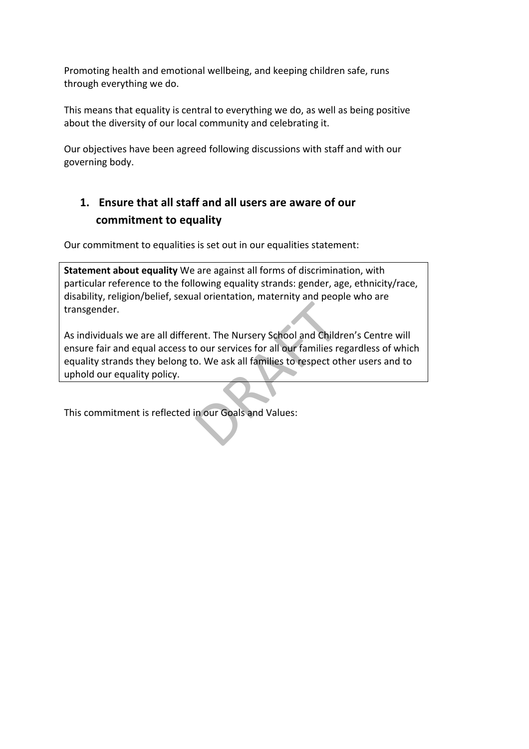Promoting health and emotional wellbeing, and keeping children safe, runs through everything we do.

This means that equality is central to everything we do, as well as being positive about the diversity of our local community and celebrating it.

Our objectives have been agreed following discussions with staff and with our governing body.

## **1. Ensure that all staff and all users are aware of our commitment to equality**

Our commitment to equalities is set out in our equalities statement:

**Statement about equality** We are against all forms of discrimination, with particular reference to the following equality strands: gender, age, ethnicity/race, disability, religion/belief, sexual orientation, maternity and people who are transgender.

ent. The Nursery School and Child<br>a our services for all our families reports on We ask all families to respect of As individuals we are all different. The Nursery School and Children's Centre will ensure fair and equal access to our services for all our families regardless of which equality strands they belong to. We ask all families to respect other users and to uphold our equality policy.

This commitment is reflected in our Goals and Values: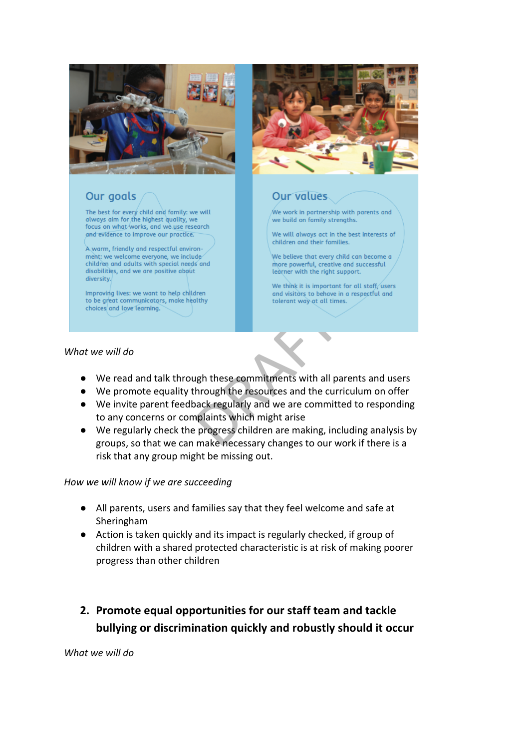

## Our goals

The best for every child and family: we will always aim for the highest quality, we focus on what/works, and we use research and evidence to improve our practice.

A warm, friendly and respectful environment: we welcome everyone, we include children and adults with special needs and disabilities, and we are positive about diversity.

Improving lives: we want to help children choices and love learning.



### **Our values**

 $\hat{M}$ e work in partnership with parents and we build on family strengths.

We will always act in the best interests of children and their families.

We believe that every child can become a more powerful, creative and successful learner with the right support.

We think it is important for all staff users and visitors to behave in a respectful and

#### *What we will do*

- We read and talk through these commitments with all parents and users
- We promote equality through the resources and the curriculum on offer
- Experiments with all paintings in these commitments with all painting and the current of the resources and the current plaints which might arise progress children are making, incomake necessary changes to our w ● We invite parent feedback regularly and we are committed to responding to any concerns or complaints which might arise
- We regularly check the progress children are making, including analysis by groups, so that we can make necessary changes to our work if there is a risk that any group might be missing out.

#### *How we will know if we are succeeding*

- All parents, users and families say that they feel welcome and safe at Sheringham
- Action is taken quickly and its impact is regularly checked, if group of children with a shared protected characteristic is at risk of making poorer progress than other children
- **2. Promote equal opportunities for our staff team and tackle bullying or discrimination quickly and robustly should it occur**

*What we will do*